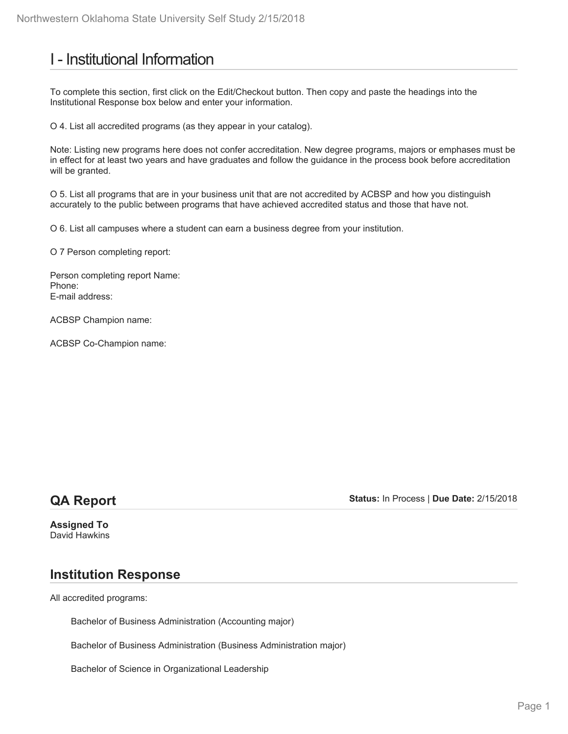# I - Institutional Information

To complete this section, first click on the Edit/Checkout button. Then copy and paste the headings into the Institutional Response box below and enter your information.

O 4. List all accredited programs (as they appear in your catalog).

Note: Listing new programs here does not confer accreditation. New degree programs, majors or emphases must be in effect for at least two years and have graduates and follow the guidance in the process book before accreditation will be granted.

O 5. List all programs that are in your business unit that are not accredited by ACBSP and how you distinguish accurately to the public between programs that have achieved accredited status and those that have not.

O 6. List all campuses where a student can earn a business degree from your institution.

O 7 Person completing report:

Person completing report Name: Phone: E-mail address:

ACBSP Champion name:

ACBSP Co-Champion name:

## **QA Report**

**Status:** In Process | **Due Date:** 2/15/2018

**Assigned To** David Hawkins

## **Institution Response**

All accredited programs:

Bachelor of Business Administration (Accounting major)

Bachelor of Business Administration (Business Administration major)

Bachelor of Science in Organizational Leadership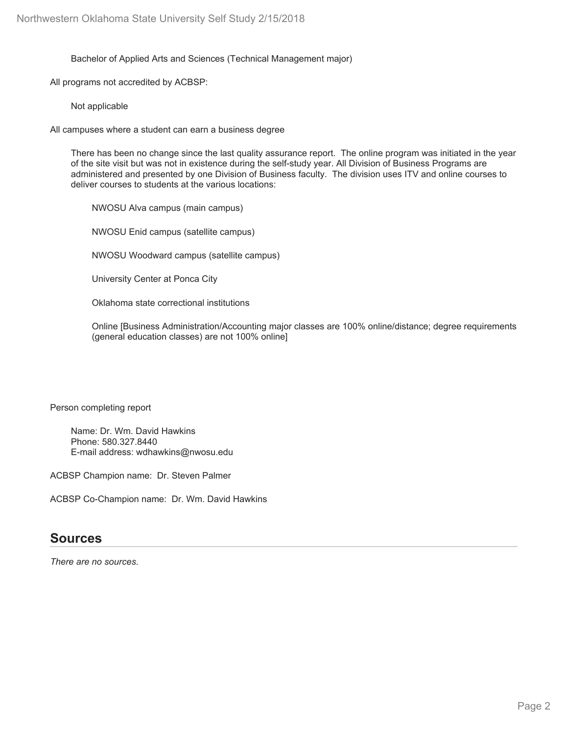Bachelor of Applied Arts and Sciences (Technical Management major)

All programs not accredited by ACBSP:

Not applicable

All campuses where a student can earn a business degree

There has been no change since the last quality assurance report. The online program was initiated in the year of the site visit but was not in existence during the self-study year. All Division of Business Programs are administered and presented by one Division of Business faculty. The division uses ITV and online courses to deliver courses to students at the various locations:

NWOSU Alva campus (main campus)

NWOSU Enid campus (satellite campus)

NWOSU Woodward campus (satellite campus)

University Center at Ponca City

Oklahoma state correctional institutions

Online [Business Administration/Accounting major classes are 100% online/distance; degree requirements (general education classes) are not 100% online]

Person completing report

Name: Dr. Wm. David Hawkins Phone: 580.327.8440 E-mail address: wdhawkins@nwosu.edu

ACBSP Champion name: Dr. Steven Palmer

ACBSP Co-Champion name: Dr. Wm. David Hawkins

### **Sources**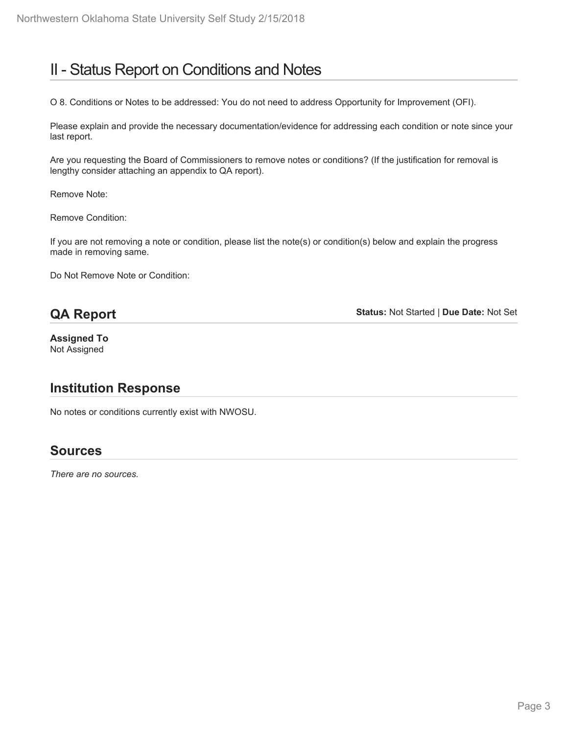# II - Status Report on Conditions and Notes

O 8. Conditions or Notes to be addressed: You do not need to address Opportunity for Improvement (OFI).

Please explain and provide the necessary documentation/evidence for addressing each condition or note since your last report.

Are you requesting the Board of Commissioners to remove notes or conditions? (If the justification for removal is lengthy consider attaching an appendix to QA report).

Remove Note:

Remove Condition:

If you are not removing a note or condition, please list the note(s) or condition(s) below and explain the progress made in removing same.

Do Not Remove Note or Condition:

## **QA Report**

**Status:** Not Started | **Due Date:** Not Set

**Assigned To** Not Assigned

## **Institution Response**

No notes or conditions currently exist with NWOSU.

## **Sources**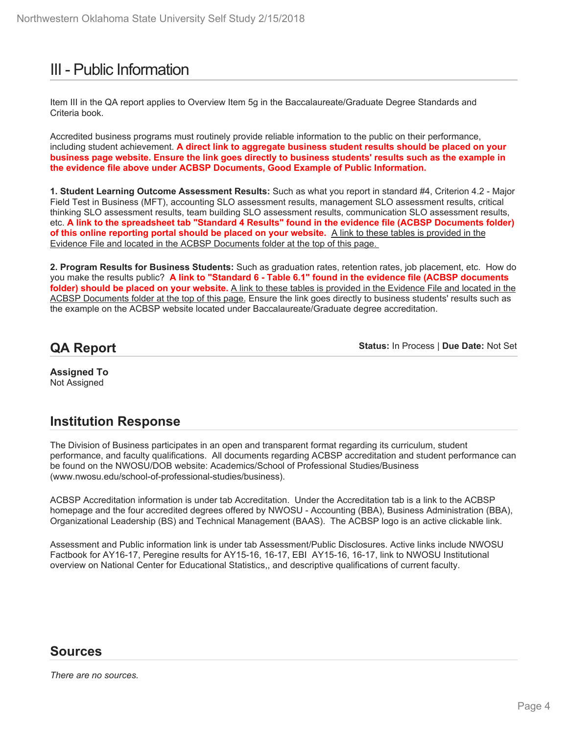# III - Public Information

Item III in the QA report applies to Overview Item 5g in the Baccalaureate/Graduate Degree Standards and Criteria book.

Accredited business programs must routinely provide reliable information to the public on their performance, including student achievement. **A direct link to aggregate business student results should be placed on your business page website. Ensure the link goes directly to business students' results such as the example in the evidence file above under ACBSP Documents, Good Example of Public Information.**

**1. Student Learning Outcome Assessment Results:** Such as what you report in standard #4, Criterion 4.2 - Major Field Test in Business (MFT), accounting SLO assessment results, management SLO assessment results, critical thinking SLO assessment results, team building SLO assessment results, communication SLO assessment results, etc. **A link to the spreadsheet tab "Standard 4 Results" found in the evidence file (ACBSP Documents folder) of this online reporting portal should be placed on your website.** A link to these tables is provided in the Evidence File and located in the ACBSP Documents folder at the top of this page.

**2. Program Results for Business Students:** Such as graduation rates, retention rates, job placement, etc. How do you make the results public? **A link to "Standard 6 - Table 6.1" found in the evidence file (ACBSP documents folder) should be placed on your website.** A link to these tables is provided in the Evidence File and located in the ACBSP Documents folder at the top of this page. Ensure the link goes directly to business students' results such as the example on the ACBSP website located under Baccalaureate/Graduate degree accreditation.

## **QA Report**

**Status:** In Process | **Due Date:** Not Set

**Assigned To** Not Assigned

## **Institution Response**

The Division of Business participates in an open and transparent format regarding its curriculum, student performance, and faculty qualifications. All documents regarding ACBSP accreditation and student performance can be found on the NWOSU/DOB website: Academics/School of Professional Studies/Business (www.nwosu.edu/school-of-professional-studies/business).

ACBSP Accreditation information is under tab Accreditation. Under the Accreditation tab is a link to the ACBSP homepage and the four accredited degrees offered by NWOSU - Accounting (BBA), Business Administration (BBA), Organizational Leadership (BS) and Technical Management (BAAS). The ACBSP logo is an active clickable link.

Assessment and Public information link is under tab Assessment/Public Disclosures. Active links include NWOSU Factbook for AY16-17, Peregine results for AY15-16, 16-17, EBI AY15-16, 16-17, link to NWOSU Institutional overview on National Center for Educational Statistics,, and descriptive qualifications of current faculty.

### **Sources**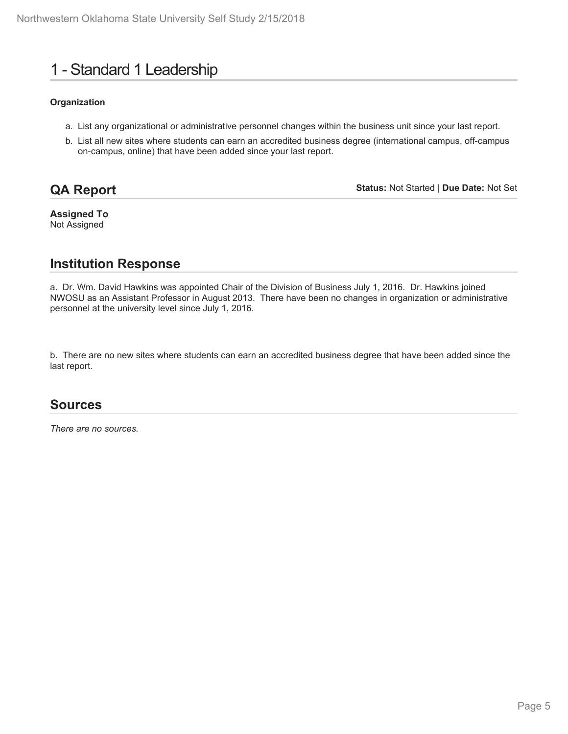# 1 - Standard 1 Leadership

#### **Organization**

- a. List any organizational or administrative personnel changes within the business unit since your last report.
- b. List all new sites where students can earn an accredited business degree (international campus, off-campus on-campus, online) that have been added since your last report.

## **QA Report**

**Status:** Not Started | **Due Date:** Not Set

**Assigned To** Not Assigned

## **Institution Response**

a. Dr. Wm. David Hawkins was appointed Chair of the Division of Business July 1, 2016. Dr. Hawkins joined NWOSU as an Assistant Professor in August 2013. There have been no changes in organization or administrative personnel at the university level since July 1, 2016.

b. There are no new sites where students can earn an accredited business degree that have been added since the last report.

### **Sources**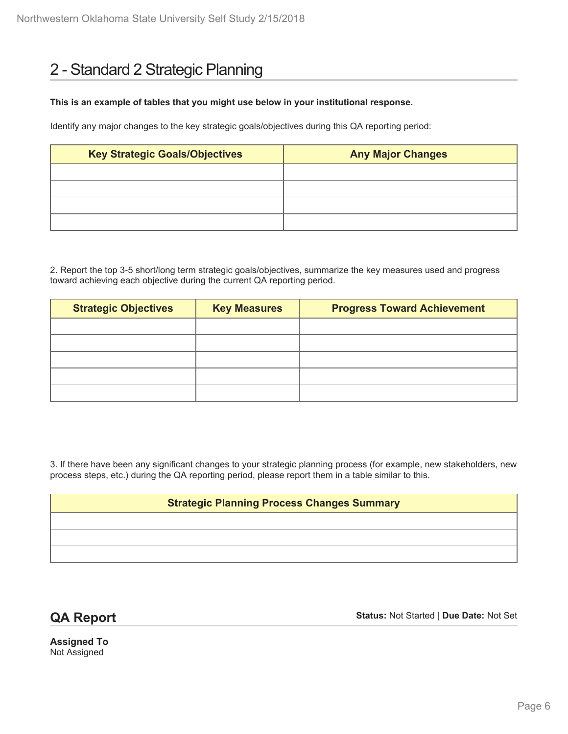# 2 - Standard 2 Strategic Planning

#### **This is an example of tables that you might use below in your institutional response.**

Identify any major changes to the key strategic goals/objectives during this QA reporting period:

| <b>Key Strategic Goals/Objectives</b> | <b>Any Major Changes</b> |  |  |
|---------------------------------------|--------------------------|--|--|
|                                       |                          |  |  |
|                                       |                          |  |  |
|                                       |                          |  |  |
|                                       |                          |  |  |

2. Report the top 3-5 short/long term strategic goals/objectives, summarize the key measures used and progress toward achieving each objective during the current QA reporting period.

| <b>Strategic Objectives</b> | <b>Key Measures</b> | <b>Progress Toward Achievement</b> |  |  |
|-----------------------------|---------------------|------------------------------------|--|--|
|                             |                     |                                    |  |  |
|                             |                     |                                    |  |  |
|                             |                     |                                    |  |  |
|                             |                     |                                    |  |  |
|                             |                     |                                    |  |  |

3. If there have been any significant changes to your strategic planning process (for example, new stakeholders, new process steps, etc.) during the QA reporting period, please report them in a table similar to this.

#### **Strategic Planning Process Changes Summary**

**QA Report**

**Status:** Not Started | **Due Date:** Not Set

**Assigned To** Not Assigned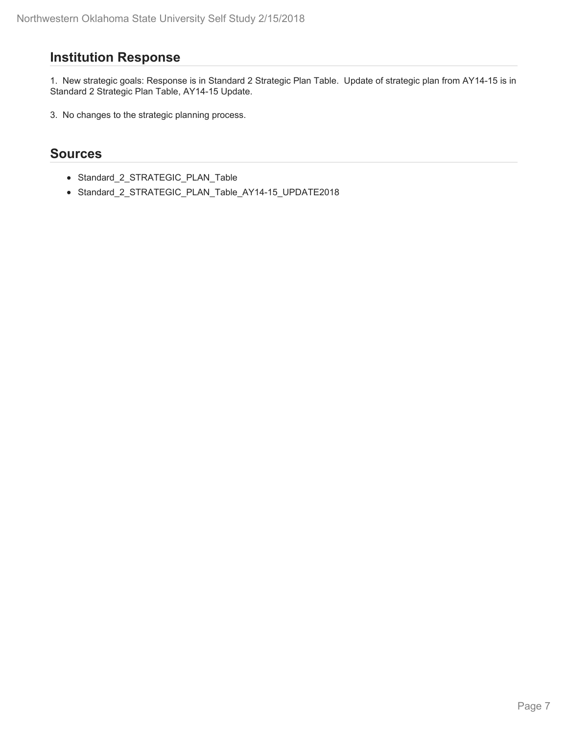## **Institution Response**

1. New strategic goals: Response is in Standard 2 Strategic Plan Table. Update of strategic plan from AY14-15 is in Standard 2 Strategic Plan Table, AY14-15 Update.

3. No changes to the strategic planning process.

### **Sources**

- Standard\_2\_STRATEGIC\_PLAN\_Table
- Standard\_2\_STRATEGIC\_PLAN\_Table\_AY14-15\_UPDATE2018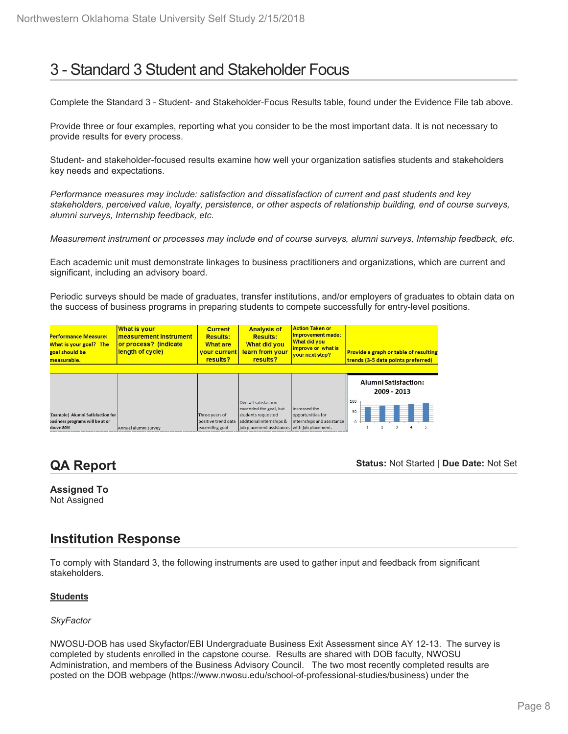# 3 - Standard 3 Student and Stakeholder Focus

Complete the Standard 3 - Student- and Stakeholder-Focus Results table, found under the Evidence File tab above.

Provide three or four examples, reporting what you consider to be the most important data. It is not necessary to provide results for every process.

Student- and stakeholder-focused results examine how well your organization satisfies students and stakeholders key needs and expectations.

*Performance measures may include: satisfaction and dissatisfaction of current and past students and key stakeholders, perceived value, loyalty, persistence, or other aspects of relationship building, end of course surveys, alumni surveys, Internship feedback, etc.*

*Measurement instrument or processes may include end of course surveys, alumni surveys, Internship feedback, etc.*

Each academic unit must demonstrate linkages to business practitioners and organizations, which are current and significant, including an advisory board.

Periodic surveys should be made of graduates, transfer institutions, and/or employers of graduates to obtain data on the success of business programs in preparing students to compete successfully for entry-level positions.

| <b>Performance Measure:</b><br>What is your goal? The<br>goal should be<br>measurable. | What is your<br>measurement instrument<br>or process? (indicate<br>length of cycle) | <b>Current</b><br><b>Results:</b><br><b>What are</b><br>vour current<br>results? | <b>Analysis of</b><br><b>Results:</b><br>What did you<br>learn from your<br>results? | <b>Action Taken or</b><br>Improvement made:<br><b>What did you</b><br>improve or what is<br>vour next step? | Provide a graph or table of resulting<br>trends (3-5 data points preferred) |
|----------------------------------------------------------------------------------------|-------------------------------------------------------------------------------------|----------------------------------------------------------------------------------|--------------------------------------------------------------------------------------|-------------------------------------------------------------------------------------------------------------|-----------------------------------------------------------------------------|
|                                                                                        |                                                                                     |                                                                                  |                                                                                      |                                                                                                             | <b>Alumni Satisfaction:</b><br>2009 - 2013                                  |
|                                                                                        |                                                                                     |                                                                                  | Overall satisfaction<br>exceeded the goal, but                                       | Increased the                                                                                               | 100<br>50                                                                   |
| Example) Alumni Satisfaction for                                                       |                                                                                     | Three years of                                                                   | students requested                                                                   | opportunities for                                                                                           |                                                                             |
| pusiness programs will be at or                                                        |                                                                                     | positive trend data                                                              | additional internships &                                                             | internships and assistance                                                                                  |                                                                             |
| above 80%                                                                              | Annual alumni survey                                                                | exceeding goal                                                                   | job placement assistance. with job placement.                                        |                                                                                                             |                                                                             |

## **QA Report**

**Status:** Not Started | **Due Date:** Not Set

# **Assigned To**

Not Assigned

## **Institution Response**

To comply with Standard 3, the following instruments are used to gather input and feedback from significant stakeholders.

#### **Students**

#### *SkyFactor*

NWOSU-DOB has used Skyfactor/EBI Undergraduate Business Exit Assessment since AY 12-13. The survey is completed by students enrolled in the capstone course. Results are shared with DOB faculty, NWOSU Administration, and members of the Business Advisory Council. The two most recently completed results are posted on the DOB webpage (https://www.nwosu.edu/school-of-professional-studies/business) under the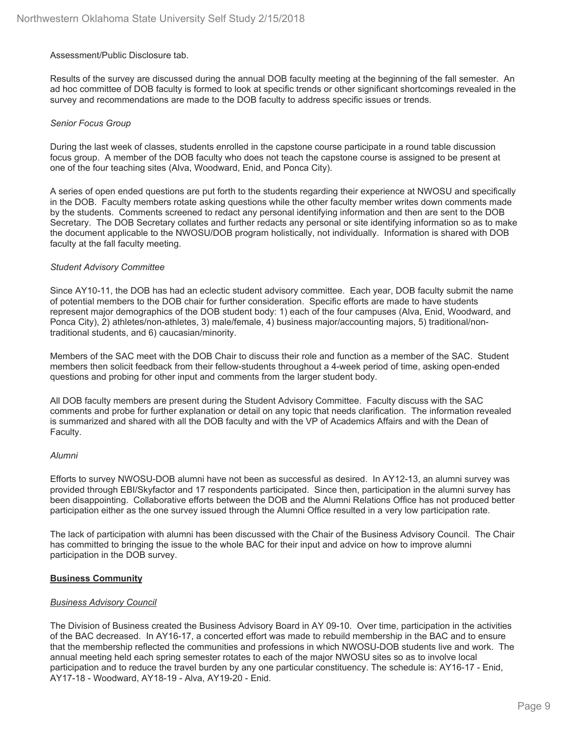#### Assessment/Public Disclosure tab.

Results of the survey are discussed during the annual DOB faculty meeting at the beginning of the fall semester. An ad hoc committee of DOB faculty is formed to look at specific trends or other significant shortcomings revealed in the survey and recommendations are made to the DOB faculty to address specific issues or trends.

#### *Senior Focus Group*

During the last week of classes, students enrolled in the capstone course participate in a round table discussion focus group. A member of the DOB faculty who does not teach the capstone course is assigned to be present at one of the four teaching sites (Alva, Woodward, Enid, and Ponca City).

A series of open ended questions are put forth to the students regarding their experience at NWOSU and specifically in the DOB. Faculty members rotate asking questions while the other faculty member writes down comments made by the students. Comments screened to redact any personal identifying information and then are sent to the DOB Secretary. The DOB Secretary collates and further redacts any personal or site identifying information so as to make the document applicable to the NWOSU/DOB program holistically, not individually. Information is shared with DOB faculty at the fall faculty meeting.

#### *Student Advisory Committee*

Since AY10-11, the DOB has had an eclectic student advisory committee. Each year, DOB faculty submit the name of potential members to the DOB chair for further consideration. Specific efforts are made to have students represent major demographics of the DOB student body: 1) each of the four campuses (Alva, Enid, Woodward, and Ponca City), 2) athletes/non-athletes, 3) male/female, 4) business major/accounting majors, 5) traditional/nontraditional students, and 6) caucasian/minority.

Members of the SAC meet with the DOB Chair to discuss their role and function as a member of the SAC. Student members then solicit feedback from their fellow-students throughout a 4-week period of time, asking open-ended questions and probing for other input and comments from the larger student body.

All DOB faculty members are present during the Student Advisory Committee. Faculty discuss with the SAC comments and probe for further explanation or detail on any topic that needs clarification. The information revealed is summarized and shared with all the DOB faculty and with the VP of Academics Affairs and with the Dean of Faculty.

#### *Alumni*

Efforts to survey NWOSU-DOB alumni have not been as successful as desired. In AY12-13, an alumni survey was provided through EBI/Skyfactor and 17 respondents participated. Since then, participation in the alumni survey has been disappointing. Collaborative efforts between the DOB and the Alumni Relations Office has not produced better participation either as the one survey issued through the Alumni Office resulted in a very low participation rate.

The lack of participation with alumni has been discussed with the Chair of the Business Advisory Council. The Chair has committed to bringing the issue to the whole BAC for their input and advice on how to improve alumni participation in the DOB survey.

#### **Business Community**

#### *Business Advisory Council*

The Division of Business created the Business Advisory Board in AY 09-10. Over time, participation in the activities of the BAC decreased. In AY16-17, a concerted effort was made to rebuild membership in the BAC and to ensure that the membership reflected the communities and professions in which NWOSU-DOB students live and work. The annual meeting held each spring semester rotates to each of the major NWOSU sites so as to involve local participation and to reduce the travel burden by any one particular constituency. The schedule is: AY16-17 - Enid, AY17-18 - Woodward, AY18-19 - Alva, AY19-20 - Enid.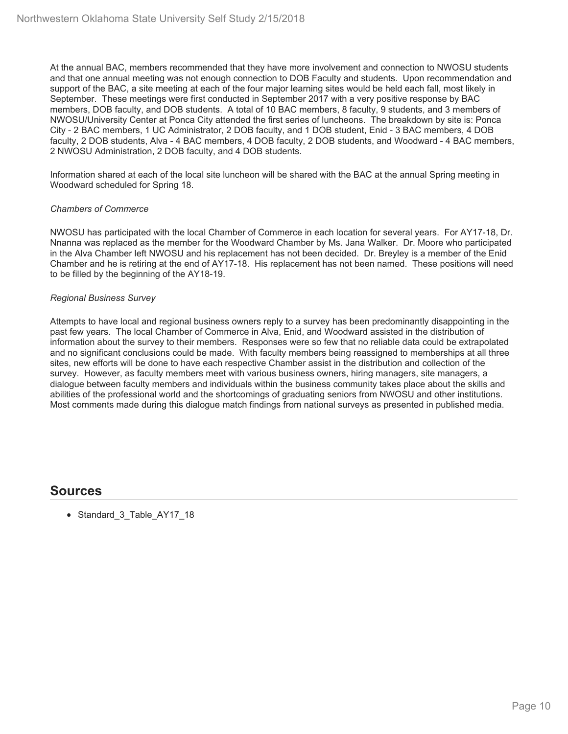At the annual BAC, members recommended that they have more involvement and connection to NWOSU students and that one annual meeting was not enough connection to DOB Faculty and students. Upon recommendation and support of the BAC, a site meeting at each of the four major learning sites would be held each fall, most likely in September. These meetings were first conducted in September 2017 with a very positive response by BAC members, DOB faculty, and DOB students. A total of 10 BAC members, 8 faculty, 9 students, and 3 members of NWOSU/University Center at Ponca City attended the first series of luncheons. The breakdown by site is: Ponca City - 2 BAC members, 1 UC Administrator, 2 DOB faculty, and 1 DOB student, Enid - 3 BAC members, 4 DOB faculty, 2 DOB students, Alva - 4 BAC members, 4 DOB faculty, 2 DOB students, and Woodward - 4 BAC members, 2 NWOSU Administration, 2 DOB faculty, and 4 DOB students.

Information shared at each of the local site luncheon will be shared with the BAC at the annual Spring meeting in Woodward scheduled for Spring 18.

#### *Chambers of Commerce*

NWOSU has participated with the local Chamber of Commerce in each location for several years. For AY17-18, Dr. Nnanna was replaced as the member for the Woodward Chamber by Ms. Jana Walker. Dr. Moore who participated in the Alva Chamber left NWOSU and his replacement has not been decided. Dr. Breyley is a member of the Enid Chamber and he is retiring at the end of AY17-18. His replacement has not been named. These positions will need to be filled by the beginning of the AY18-19.

#### *Regional Business Survey*

Attempts to have local and regional business owners reply to a survey has been predominantly disappointing in the past few years. The local Chamber of Commerce in Alva, Enid, and Woodward assisted in the distribution of information about the survey to their members. Responses were so few that no reliable data could be extrapolated and no significant conclusions could be made. With faculty members being reassigned to memberships at all three sites, new efforts will be done to have each respective Chamber assist in the distribution and collection of the survey. However, as faculty members meet with various business owners, hiring managers, site managers, a dialogue between faculty members and individuals within the business community takes place about the skills and abilities of the professional world and the shortcomings of graduating seniors from NWOSU and other institutions. Most comments made during this dialogue match findings from national surveys as presented in published media.

### **Sources**

• Standard 3\_Table\_AY17\_18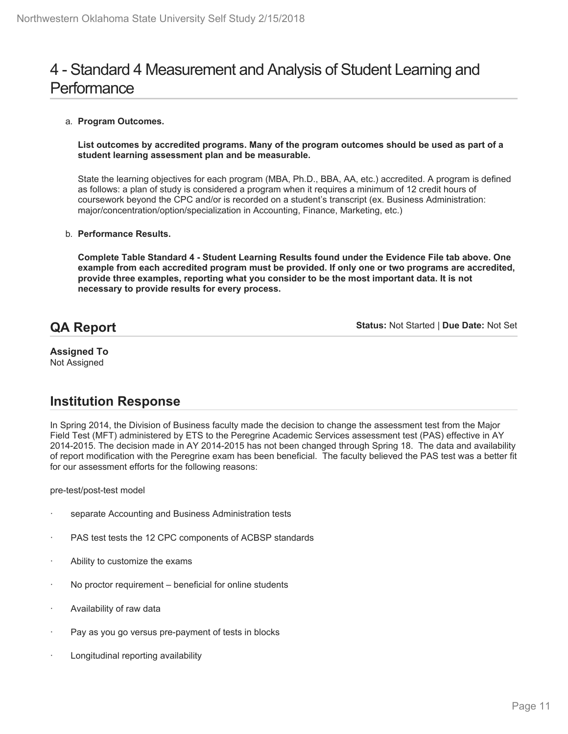# 4 - Standard 4 Measurement and Analysis of Student Learning and **Performance**

#### a. **Program Outcomes.**

#### **List outcomes by accredited programs. Many of the program outcomes should be used as part of a student learning assessment plan and be measurable.**

State the learning objectives for each program (MBA, Ph.D., BBA, AA, etc.) accredited. A program is defined as follows: a plan of study is considered a program when it requires a minimum of 12 credit hours of coursework beyond the CPC and/or is recorded on a student's transcript (ex. Business Administration: major/concentration/option/specialization in Accounting, Finance, Marketing, etc.)

#### b. **Performance Results.**

**Complete Table Standard 4 - Student Learning Results found under the Evidence File tab above. One example from each accredited program must be provided. If only one or two programs are accredited, provide three examples, reporting what you consider to be the most important data. It is not necessary to provide results for every process.**

## **QA Report**

**Status:** Not Started | **Due Date:** Not Set

#### **Assigned To** Not Assigned

## **Institution Response**

In Spring 2014, the Division of Business faculty made the decision to change the assessment test from the Major Field Test (MFT) administered by ETS to the Peregrine Academic Services assessment test (PAS) effective in AY 2014-2015. The decision made in AY 2014-2015 has not been changed through Spring 18. The data and availability of report modification with the Peregrine exam has been beneficial. The faculty believed the PAS test was a better fit for our assessment efforts for the following reasons:

pre-test/post-test model

- separate Accounting and Business Administration tests
- PAS test tests the 12 CPC components of ACBSP standards
- Ability to customize the exams
- No proctor requirement beneficial for online students
- Availability of raw data
- Pay as you go versus pre-payment of tests in blocks
- Longitudinal reporting availability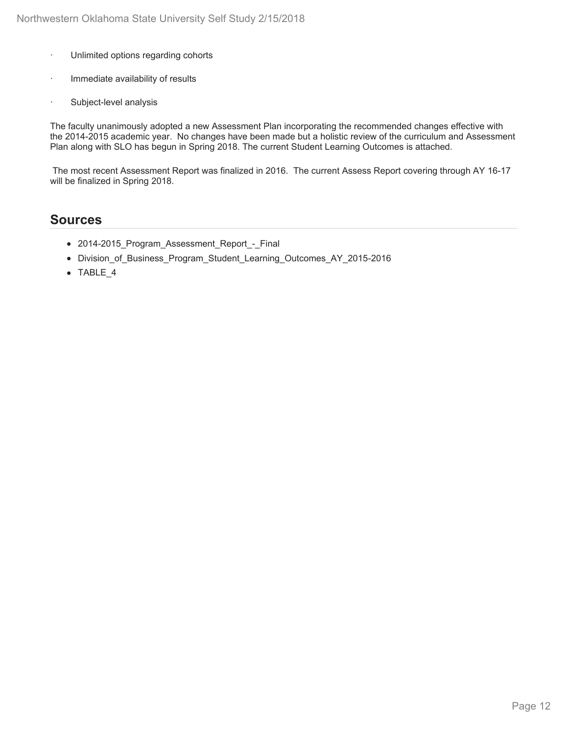- · Unlimited options regarding cohorts
- Immediate availability of results
- Subject-level analysis

The faculty unanimously adopted a new Assessment Plan incorporating the recommended changes effective with the 2014-2015 academic year. No changes have been made but a holistic review of the curriculum and Assessment Plan along with SLO has begun in Spring 2018. The current Student Learning Outcomes is attached.

 The most recent Assessment Report was finalized in 2016. The current Assess Report covering through AY 16-17 will be finalized in Spring 2018.

### **Sources**

- 2014-2015\_Program\_Assessment\_Report\_-\_Final
- Division\_of\_Business\_Program\_Student\_Learning\_Outcomes\_AY\_2015-2016
- TABLE\_4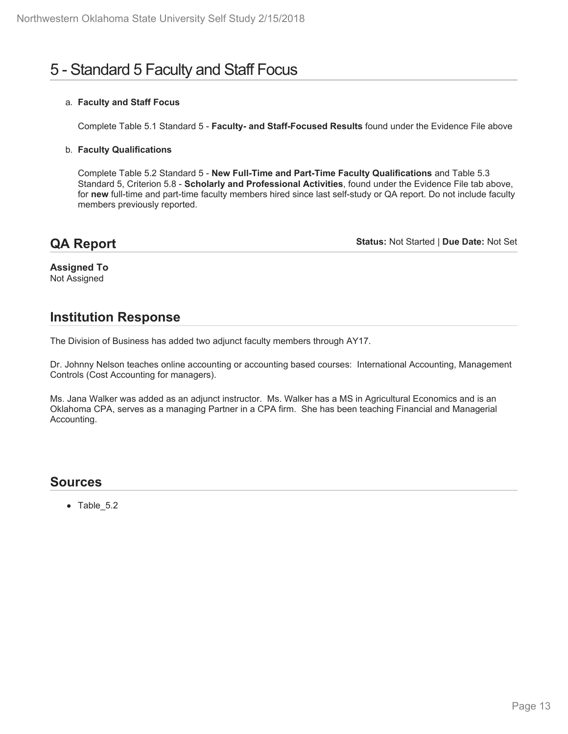# 5 - Standard 5 Faculty and Staff Focus

#### a. **Faculty and Staff Focus**

Complete Table 5.1 Standard 5 - **Faculty- and Staff-Focused Results** found under the Evidence File above

#### b. **Faculty Qualifications**

Complete Table 5.2 Standard 5 - **New Full-Time and Part-Time Faculty Qualifications** and Table 5.3 Standard 5, Criterion 5.8 - **Scholarly and Professional Activities**, found under the Evidence File tab above, for **new** full-time and part-time faculty members hired since last self-study or QA report. Do not include faculty members previously reported.

## **QA Report**

**Status:** Not Started | **Due Date:** Not Set

**Assigned To** Not Assigned

## **Institution Response**

The Division of Business has added two adjunct faculty members through AY17.

Dr. Johnny Nelson teaches online accounting or accounting based courses: International Accounting, Management Controls (Cost Accounting for managers).

Ms. Jana Walker was added as an adjunct instructor. Ms. Walker has a MS in Agricultural Economics and is an Oklahoma CPA, serves as a managing Partner in a CPA firm. She has been teaching Financial and Managerial Accounting.

### **Sources**

• Table 5.2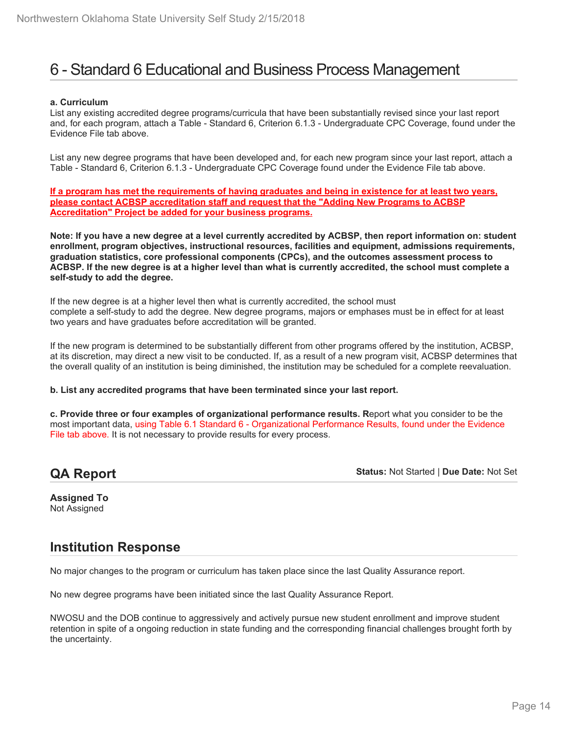# 6 - Standard 6 Educational and Business Process Management

#### **a. Curriculum**

List any existing accredited degree programs/curricula that have been substantially revised since your last report and, for each program, attach a Table - Standard 6, Criterion 6.1.3 - Undergraduate CPC Coverage, found under the Evidence File tab above.

List any new degree programs that have been developed and, for each new program since your last report, attach a Table - Standard 6, Criterion 6.1.3 - Undergraduate CPC Coverage found under the Evidence File tab above.

**If a program has met the requirements of having graduates and being in existence for at least two years, please contact ACBSP accreditation staff and request that the "Adding New Programs to ACBSP Accreditation" Project be added for your business programs.**

**Note: If you have a new degree at a level currently accredited by ACBSP, then report information on: student enrollment, program objectives, instructional resources, facilities and equipment, admissions requirements, graduation statistics, core professional components (CPCs), and the outcomes assessment process to ACBSP. If the new degree is at a higher level than what is currently accredited, the school must complete a self-study to add the degree.**

If the new degree is at a higher level then what is currently accredited, the school must complete a self-study to add the degree. New degree programs, majors or emphases must be in effect for at least two years and have graduates before accreditation will be granted.

If the new program is determined to be substantially different from other programs offered by the institution, ACBSP, at its discretion, may direct a new visit to be conducted. If, as a result of a new program visit, ACBSP determines that the overall quality of an institution is being diminished, the institution may be scheduled for a complete reevaluation.

#### **b. List any accredited programs that have been terminated since your last report.**

**c. Provide three or four examples of organizational performance results. R**eport what you consider to be the most important data, using Table 6.1 Standard 6 - Organizational Performance Results, found under the Evidence File tab above. It is not necessary to provide results for every process.

## **QA Report**

**Status:** Not Started | **Due Date:** Not Set

**Assigned To** Not Assigned

### **Institution Response**

No major changes to the program or curriculum has taken place since the last Quality Assurance report.

No new degree programs have been initiated since the last Quality Assurance Report.

NWOSU and the DOB continue to aggressively and actively pursue new student enrollment and improve student retention in spite of a ongoing reduction in state funding and the corresponding financial challenges brought forth by the uncertainty.